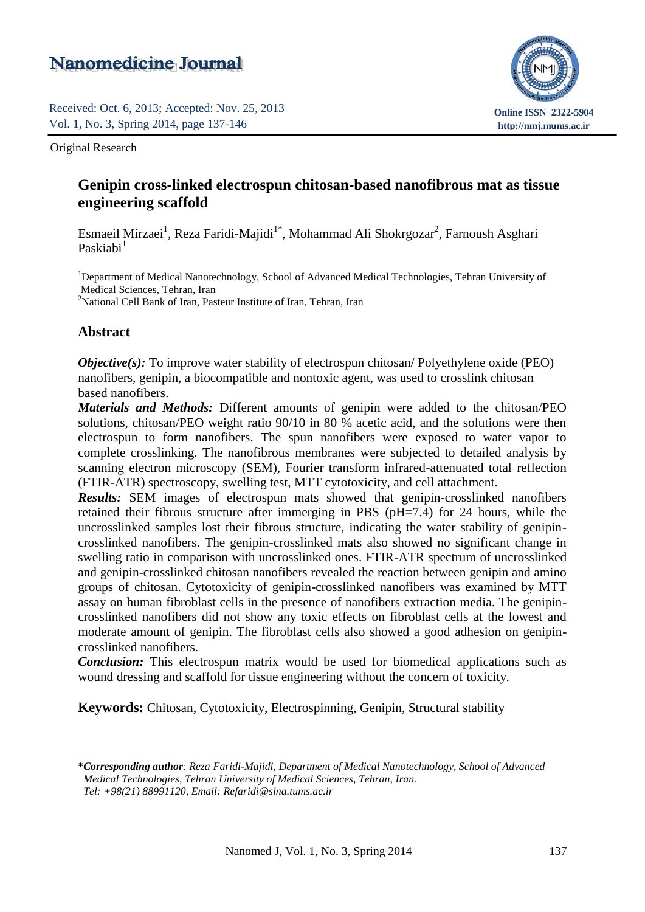# **Nanomedicine Journal**

Received: Oct. 6, 2013; Accepted: Nov. 25, 2013 Vol. 1, No. 3, Spring 2014, page 137-146



Original Research

## Received: Apr. 22, 2014; Accepted: Jul. 12, 2014 **Genipin cross-linked electrospun chitosan-based nanofibrous mat as tissue engineering scaffold**

Vol. 1, No. 5, Autumn 2014, page 298-301 Esmaeil Mirzaei<sup>1</sup>, Reza Faridi-Majidi<sup>1\*</sup>, Mohammad Ali Shokrgozar<sup>2</sup>, Farnoush Asghari Paskiabi<sup>1</sup>

<sup>1</sup>Department of Medical Nanotechnology, School of Advanced Medical Technologies, Tehran University of Medical Sciences, Tehran, Iran <sup>2</sup>National Cell Bank of Iran, Pasteur Institute of Iran, Tehran, Iran

## **Abstract**

*Objective(s):* To improve water stability of electrospun chitosan/ Polyethylene oxide (PEO) nanofibers, genipin, a biocompatible and nontoxic agent, was used to crosslink chitosan based nanofibers.

*Materials and Methods:* Different amounts of genipin were added to the chitosan/PEO solutions, chitosan/PEO weight ratio 90/10 in 80 % acetic acid, and the solutions were then electrospun to form nanofibers. The spun nanofibers were exposed to water vapor to complete crosslinking. The nanofibrous membranes were subjected to detailed analysis by scanning electron microscopy (SEM), Fourier transform infrared-attenuated total reflection (FTIR-ATR) spectroscopy, swelling test, MTT cytotoxicity, and cell attachment.

*Results:* SEM images of electrospun mats showed that genipin-crosslinked nanofibers retained their fibrous structure after immerging in PBS (pH=7.4) for 24 hours, while the uncrosslinked samples lost their fibrous structure, indicating the water stability of genipin crosslinked nanofibers. The genipin-crosslinked mats also showed no significant change in swelling ratio in comparison with uncrosslinked ones. FTIR-ATR spectrum of uncrosslinked and genipin-crosslinked chitosan nanofibers revealed the reaction between genipin and amino groups of chitosan. Cytotoxicity of genipin-crosslinked nanofibers was examined by MTT assay on human fibroblast cells in the presence of nanofibers extraction media. The genipin crosslinked nanofibers did not show any toxic effects on fibroblast cells at the lowest and moderate amount of genipin. The fibroblast cells also showed a good adhesion on genipin crosslinked nanofibers.

*Conclusion:* This electrospun matrix would be used for biomedical applications such as wound dressing and scaffold for tissue engineering without the concern of toxicity.

**Keywords:** Chitosan, Cytotoxicity, Electrospinning, Genipin, Structural stability

**<sup>\*</sup>***Corresponding author: Reza Faridi-Majidi, Department of Medical Nanotechnology, School of Advanced Medical Technologies, Tehran University of Medical Sciences, Tehran, Iran. Tel: +98(21) 88991120, Email: Refaridi@sina.tums.ac.ir*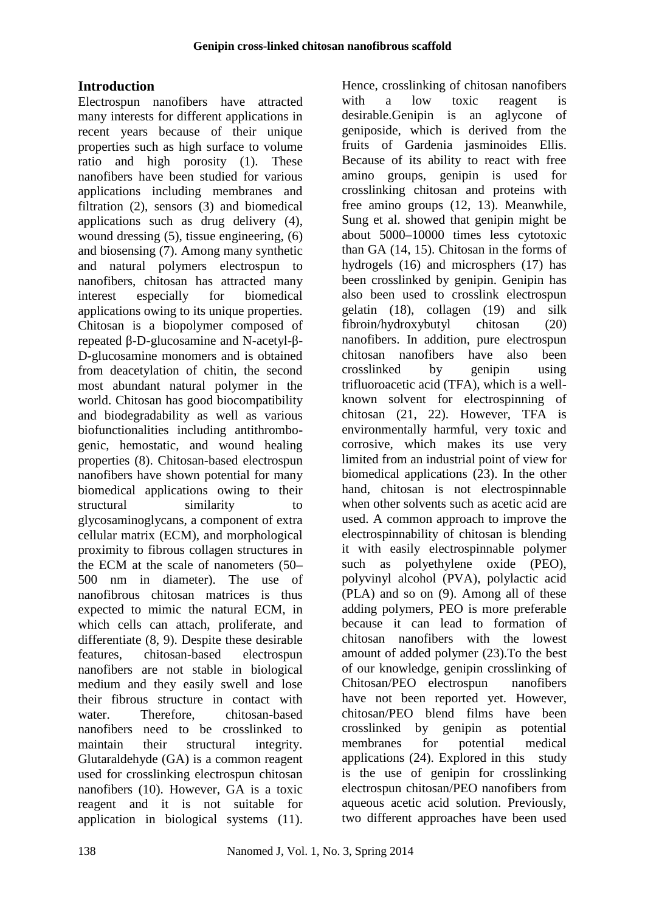# **Introduction**

Electrospun nanofibers have attracted many interests for different applications in recent years because of their unique properties such as high surface to volume ratio and high porosity (1). These Because of its a<br>nanofibers have been studied for various amino groups, nanofibers have been studied for various applications including membranes and filtration (2), sensors (3) and biomedical applications such as drug delivery (4), wound dressing (5), tissue engineering, (6) and biosensing (7). Among many synthetic and natural polymers electrospun to nanofibers, chitosan has attracted many interest especially for biomedical applications owing to its unique properties. Chitosan is a biopolymer composed of repeated -D-glucosamine and N-acetyl- -D-glucosamine monomers and is obtained from deacetylation of chitin, the second most abundant natural polymer in the world. Chitosan has good biocompatibility and biodegradability as well as various biofunctionalities including antithrombo genic, hemostatic, and wound healing properties (8). Chitosan-based electrospun nanofibers have shown potential for many biomedical applications owing to their structural similarity to glycosaminoglycans, a component of extra cellular matrix (ECM), and morphological proximity to fibrous collagen structures in the ECM at the scale of nanometers (50– 500 nm in diameter). The use of nanofibrous chitosan matrices is thus expected to mimic the natural ECM, in which cells can attach, proliferate, and differentiate (8, 9). Despite these desirable features, chitosan-based electrospun nanofibers are not stable in biological medium and they easily swell and lose their fibrous structure in contact with water. Therefore, chitosan-based nanofibers need to be crosslinked to maintain their structural integrity. Glutaraldehyde (GA) is a common reagent used for crosslinking electrospun chitosan nanofibers (10). However, GA is a toxic reagent and it is not suitable for application in biological systems (11).

Hence, crosslinking of chitosan nanofibers a low toxic reagent is desirable.Genipin is an aglycone of geniposide, which is derived from the fruits of Gardenia jasminoides Ellis. Because of its ability to react with free genipin is used for crosslinking chitosan and proteins with free amino groups (12, 13). Meanwhile, Sung et al. showed that genipin might be about 5000–10000 times less cytotoxic than GA (14, 15). Chitosan in the forms of hydrogels (16) and microsphers (17) has been crosslinked by genipin. Genipin has also been used to crosslink electrospun gelatin (18), collagen (19) and silk fibroin/hydroxybutyl chitosan (20) nanofibers. In addition, pure electrospun chitosan nanofibers have also been crosslinked by genipin using trifluoroacetic acid (TFA), which is a well known solvent for electrospinning of chitosan  $(21, 22)$ . However, TFA is environmentally harmful, very toxic and corrosive, which makes its use very limited from an industrial point of view for biomedical applications (23). In the other hand, chitosan is not electrospinnable when other solvents such as acetic acid are used. A common approach to improve the electrospinnability of chitosan is blending it with easily electrospinnable polymer such as polyethylene oxide (PEO), polyvinyl alcohol (PVA), polylactic acid (PLA) and so on (9). Among all of these adding polymers, PEO is more preferable because it can lead to formation of chitosan nanofibers with the lowest amount of added polymer (23).To the best of our knowledge, genipin crosslinking of Chitosan/PEO electrospun nanofibers have not been reported yet. However, chitosan/PEO blend films have been crosslinked by genipin as potential membranes for potential medical applications  $(24)$ . Explored in this study is the use of genipin for crosslinking electrospun chitosan/PEO nanofibers from aqueous acetic acid solution. Previously, two different approaches have been used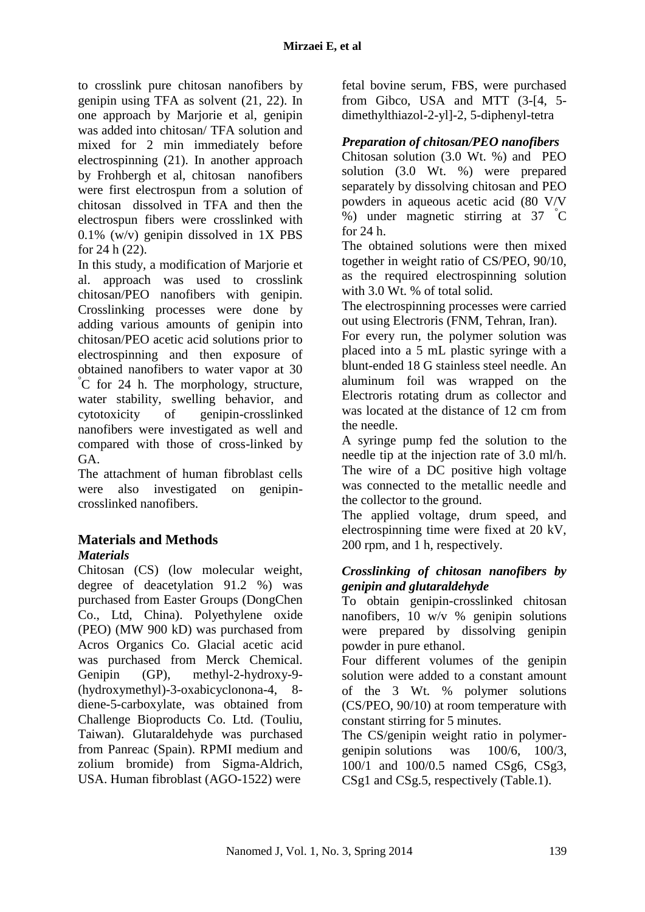to crosslink pure chitosan nanofibers by genipin using TFA as solvent (21, 22). In one approach by Marjorie et al, genipin was added into chitosan/ TFA solution and mixed for 2 min immediately before electrospinning (21). In another approach by Frohbergh et al, chitosan nanofibers were first electrospun from a solution of chitosan dissolved in TFA and then the electrospun fibers were crosslinked with 0.1% (w/v) genipin dissolved in 1X PBS for 24 h (22).

In this study, a modification of Marjorie et al. approach was used to crosslink chitosan/PEO nanofibers with genipin. Crosslinking processes were done by adding various amounts of genipin into chitosan/PEO acetic acid solutions prior to electrospinning and then exposure of obtained nanofibers to water vapor at 30 °C for 24 h. The morphology, structure, water stability, swelling behavior, and cytotoxicity of genipin-crosslinked nanofibers were investigated as well and compared with those of cross-linked by GA.

The attachment of human fibroblast cells were also investigated on genipin crosslinked nanofibers.

## **Materials and Methods** *Materials*

Chitosan (CS) (low molecular weight, degree of deacetylation 91.2 %) was purchased from Easter Groups (DongChen Co., Ltd, China). Polyethylene oxide (PEO) (MW 900 kD) was purchased from Acros Organics Co. Glacial acetic acid was purchased from Merck Chemical. Genipin (GP), methyl-2-hydroxy-9- (hydroxymethyl)-3-oxabicyclonona-4, 8 diene-5-carboxylate, was obtained from Challenge Bioproducts Co. Ltd. (Touliu, Taiwan). Glutaraldehyde was purchased from Panreac (Spain). RPMI medium and zolium bromide) from Sigma-Aldrich, USA. Human fibroblast (AGO-1522) were

fetal bovine serum, FBS, were purchased from Gibco, USA and MTT (3-[4, 5 dimethylthiazol-2-yl]-2, 5-diphenyl-tetra

## *Preparation of chitosan/PEO nanofibers*

Chitosan solution (3.0 Wt. %) and PEO solution (3.0 Wt. %) were prepared separately by dissolving chitosan and PEO powders in aqueous acetic acid (80 V/V %) under magnetic stirring at 37 °C for 24 h.

The obtained solutions were then mixed together in weight ratio of CS/PEO, 90/10, as the required electrospinning solution with 3.0 Wt. % of total solid.

The electrospinning processes were carried out using Electroris (FNM, Tehran, Iran).

For every run, the polymer solution was placed into a 5 mL plastic syringe with a blunt-ended 18 G stainless steel needle. An aluminum foil was wrapped on the Electroris rotating drum as collector and was located at the distance of 12 cm from the needle.

A syringe pump fed the solution to the needle tip at the injection rate of 3.0 ml/h. The wire of a DC positive high voltage was connected to the metallic needle and the collector to the ground.

The applied voltage, drum speed, and electrospinning time were fixed at 20 kV, 200 rpm, and 1 h, respectively.

## *Crosslinking of chitosan nanofibers by genipin and glutaraldehyde*

To obtain genipin-crosslinked chitosan nanofibers, 10 w/v  $\%$  genipin solutions were prepared by dissolving genipin powder in pure ethanol.

Four different volumes of the genipin solution were added to a constant amount of the 3 Wt. % polymer solutions (CS/PEO, 90/10) at room temperature with constant stirring for 5 minutes.

The CS/genipin weight ratio in polymer genipin solutions was 100/6, 100/3, 100/1 and 100/0.5 named CSg6, CSg3, CSg1 and CSg.5, respectively (Table.1).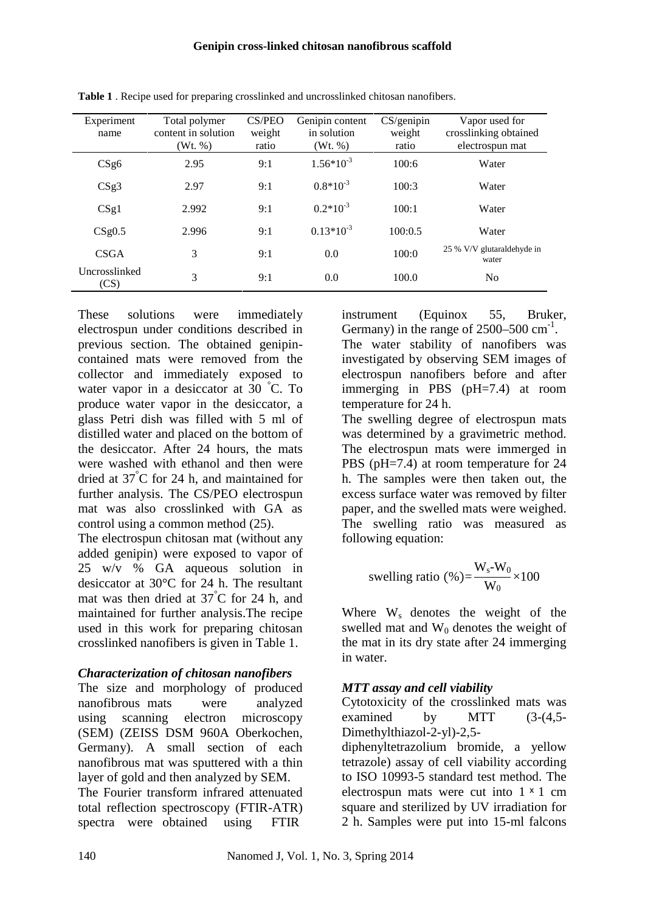| Experiment<br>name    | Total polymer<br>content in solution<br>(Wt. %) | CS/PEO<br>weight<br>ratio | Genipin content<br>in solution<br>(Wt, %) | CS/genipin<br>weight<br>ratio | Vapor used for<br>crosslinking obtained<br>electrospun mat |
|-----------------------|-------------------------------------------------|---------------------------|-------------------------------------------|-------------------------------|------------------------------------------------------------|
| CSg6                  | 2.95                                            | 9:1                       | $1.56*10^{-3}$                            | 100:6                         | Water                                                      |
| CSg3                  | 2.97                                            | 9:1                       | $0.8*10^{-3}$                             | 100:3                         | Water                                                      |
| CSg1                  | 2.992                                           | 9:1                       | $0.2*10^{-3}$                             | 100:1                         | Water                                                      |
| CSg0.5                | 2.996                                           | 9:1                       | $0.13*10^{-3}$                            | 100:0.5                       | Water                                                      |
| <b>CSGA</b>           | 3                                               | 9:1                       | 0.0                                       | 100:0                         | 25 % V/V glutaraldehyde in<br>water                        |
| Uncrosslinked<br>(CS) | 3                                               | 9:1                       | 0.0                                       | 100.0                         | N <sub>0</sub>                                             |

**Table 1** . Recipe used for preparing crosslinked and uncrosslinked chitosan nanofibers.

These solutions were immediately electrospun under conditions described in previous section. The obtained genipin contained mats were removed from the collector and immediately exposed to water vapor in a desiccator at 30 °C. To produce water vapor in the desiccator, a glass Petri dish was filled with 5 ml of distilled water and placed on the bottom of the desiccator. After 24 hours, the mats were washed with ethanol and then were dried at 37°C for 24 h, and maintained for further analysis. The CS/PEO electrospun mat was also crosslinked with GA as control using a common method (25).

The electrospun chitosan mat (without any added genipin) were exposed to vapor of 25 w/v % GA aqueous solution in desiccator at 30°C for 24 h. The resultant mat was then dried at 37°C for 24 h, and maintained for further analysis.The recipe used in this work for preparing chitosan crosslinked nanofibers is given in Table 1.

#### *Characterization of chitosan nanofibers*

The size and morphology of produced nanofibrous mats were analyzed using scanning electron microscopy (SEM) (ZEISS DSM 960A Oberkochen, Germany). A small section of each nanofibrous mat was sputtered with a thin layer of gold and then analyzed by SEM.

The Fourier transform infrared attenuated total reflection spectroscopy (FTIR-ATR) spectra were obtained using FTIR

instrument (Equinox 55, Bruker, Germany) in the range of  $2500 - 500$  cm<sup>-1</sup>. The water stability of nanofibers was investigated by observing SEM images of electrospun nanofibers before and after immerging in PBS (pH=7.4) at room temperature for 24 h. The swelling degree of electrospun mats was determined by a gravimetric method. The electrospun mats were immerged in PBS (pH=7.4) at room temperature for 24 h. The samples were then taken out, the excess surface water was removed by filter paper, and the swelled mats were weighed. The swelling ratio was measured as following equation:

$$
\text{swelling ratio } (\%) = \frac{\mathbf{W_s \cdot W_0}}{\mathbf{W_0}} \times 100
$$

Where  $W_s$  denotes the weight of the swelled mat and  $W_0$  denotes the weight of the mat in its dry state after 24 immerging in water.

## *MTT assay and cell viability*

Cytotoxicity of the crosslinked mats was examined by MTT (3-(4,5- Dimethylthiazol-2-yl)-2,5-

diphenyltetrazolium bromide, a yellow tetrazole) assay of cell viability according to ISO 10993-5 standard test method. The electrospun mats were cut into  $1 \times 1$  cm square and sterilized by UV irradiation for 2 h. Samples were put into 15-ml falcons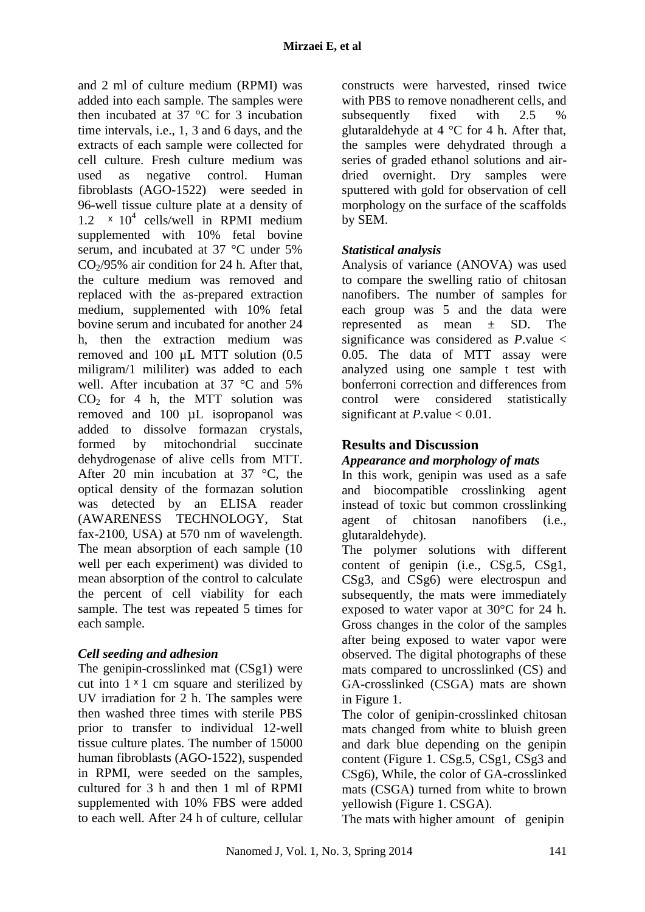and 2 ml of culture medium (RPMI) was added into each sample. The samples were then incubated at  $37^{\circ}$ C for 3 incubation time intervals, i.e., 1, 3 and 6 days, and the extracts of each sample were collected for cell culture. Fresh culture medium was used as negative control. Human fibroblasts (AGO-1522) were seeded in 96-well tissue culture plate at a density of  $1.2 \times 10^4$  cells/well in RPMI medium supplemented with 10% fetal bovine serum, and incubated at 37 °C under 5%  $CO<sub>2</sub>/95%$  air condition for 24 h. After that, the culture medium was removed and replaced with the as-prepared extraction medium, supplemented with 10% fetal bovine serum and incubated for another 24 h, then the extraction medium was removed and 100 µL MTT solution (0.5 miligram/1 mililiter) was added to each well. After incubation at 37 °C and 5%  $CO<sub>2</sub>$  for 4 h, the MTT solution was removed and 100 µL isopropanol was added to dissolve formazan crystals, formed by mitochondrial succinate dehydrogenase of alive cells from MTT. After 20 min incubation at 37 °C, the optical density of the formazan solution was detected by an ELISA reader (AWARENESS TECHNOLOGY, Stat fax-2100, USA) at 570 nm of wavelength. The mean absorption of each sample (10 well per each experiment) was divided to mean absorption of the control to calculate the percent of cell viability for each sample. The test was repeated 5 times for each sample.

## *Cell seeding and adhesion*

The genipin-crosslinked mat (CSg1) were cut into  $1 \times 1$  cm square and sterilized by UV irradiation for 2 h. The samples were then washed three times with sterile PBS prior to transfer to individual 12-well tissue culture plates. The number of 15000 human fibroblasts (AGO-1522), suspended in RPMI, were seeded on the samples, cultured for 3 h and then 1 ml of RPMI supplemented with 10% FBS were added to each well. After 24 h of culture, cellular

constructs were harvested, rinsed twice with PBS to remove nonadherent cells, and subsequently fixed with  $2.5 \frac{1}{2}$ glutaraldehyde at  $4 \degree C$  for 4 h. After that, the samples were dehydrated through a series of graded ethanol solutions and air dried overnight. Dry samples were sputtered with gold for observation of cell morphology on the surface of the scaffolds by SEM.

## *Statistical analysis*

Analysis of variance (ANOVA) was used to compare the swelling ratio of chitosan nanofibers. The number of samples for each group was 5 and the data were represented as mean ± SD. The significance was considered as *P*.value < 0.05. The data of MTT assay were analyzed using one sample t test with bonferroni correction and differences from control were considered statistically significant at  $P$ .value  $< 0.01$ .

## **Results and Discussion**

## *Appearance and morphology of mats*

In this work, genipin was used as a safe and biocompatible crosslinking agent instead of toxic but common crosslinking agent of chitosan nanofibers (i.e., glutaraldehyde).

The polymer solutions with different content of genipin (i.e., CSg.5, CSg1, CSg3, and CSg6) were electrospun and subsequently, the mats were immediately exposed to water vapor at 30°C for 24 h. Gross changes in the color of the samples after being exposed to water vapor were observed. The digital photographs of these mats compared to uncrosslinked (CS) and GA-crosslinked (CSGA) mats are shown in Figure 1.

The color of genipin-crosslinked chitosan mats changed from white to bluish green and dark blue depending on the genipin content (Figure 1. CSg.5, CSg1, CSg3 and CSg6), While, the color of GA-crosslinked mats (CSGA) turned from white to brown yellowish (Figure 1. CSGA).

The mats with higher amount of genipin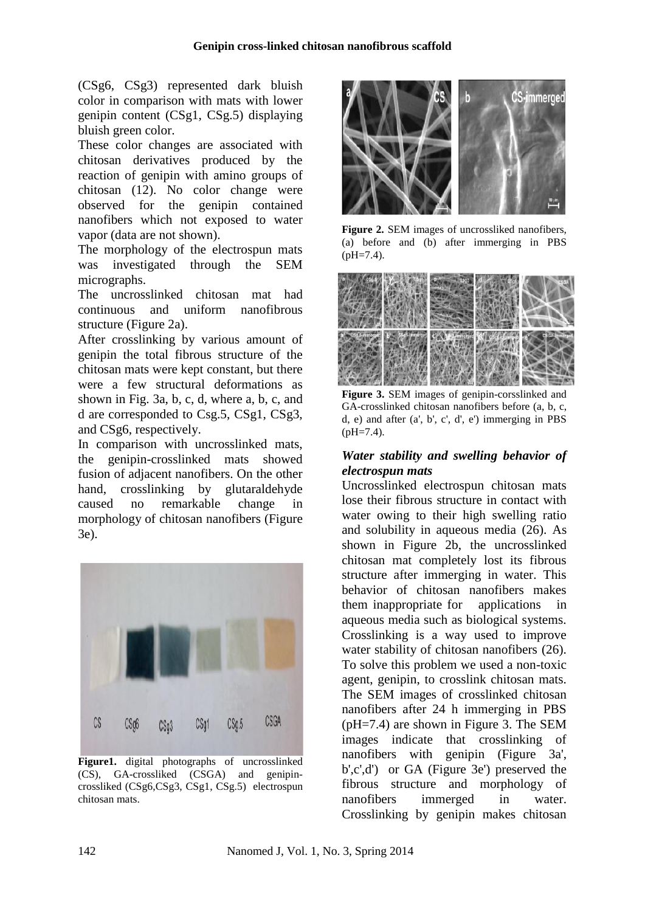(CSg6, CSg3) represented dark bluish color in comparison with mats with lower genipin content (CSg1, CSg.5) displaying bluish green color.

These color changes are associated with chitosan derivatives produced by the reaction of genipin with amino groups of chitosan (12). No color change were observed for the genipin contained nanofibers which not exposed to water vapor (data are not shown).

The morphology of the electrospun mats was investigated through the SEM micrographs.

The uncrosslinked chitosan mat had continuous and uniform nanofibrous structure (Figure 2a).

After crosslinking by various amount of genipin the total fibrous structure of the chitosan mats were kept constant, but there were a few structural deformations as shown in Fig. 3a, b, c, d, where a, b, c, and d are corresponded to Csg.5, CSg1, CSg3, and CSg6, respectively.

In comparison with uncrosslinked mats, the genipin-crosslinked mats showed fusion of adjacent nanofibers. On the other hand, crosslinking by glutaraldehyde caused no remarkable change in morphology of chitosan nanofibers (Figure 3e).



Figure1. digital photographs of uncrosslinked (CS), GA-crossliked (CSGA) and genipin- $(CS)$ , GA-crossliked  $(CSGA)$  and crossliked (CSg6,CSg3, CSg1, CSg.5) electrospun fibrous st<br>chitosan mats. nanofibers chitosan mats.



**Figure 2.** SEM images of uncrossliked nanofibers, (a) before and (b) after immerging in PBS  $(pH=7.4)$ .



**Figure 3.** SEM images of genipin-corsslinked and GA-crosslinked chitosan nanofibers before (a, b, c, d, e) and after (a', b', c', d', e') immerging in PBS  $(pH=7.4)$ .

#### *Water stability and swelling behavior of electrospun mats*

Uncrosslinked electrospun chitosan mats lose their fibrous structure in contact with water owing to their high swelling ratio and solubility in aqueous media (26). As shown in Figure 2b, the uncrosslinked chitosan mat completely lost its fibrous structure after immerging in water. This behavior of chitosan nanofibers makes them inappropriate for applications in aqueous media such as biological systems. Crosslinking is a way used to improve water stability of chitosan nanofibers (26). To solve this problem we used a non-toxic agent, genipin, to crosslink chitosan mats. The SEM images of crosslinked chitosan nanofibers after 24 h immerging in PBS (pH=7.4) are shown in Figure 3. The SEM images indicate that crosslinking of nanofibers with genipin (Figure 3a', b',c',d') or GA (Figure 3e') preserved the fibrous structure and morphology of immerged in water. Crosslinking by genipin makes chitosan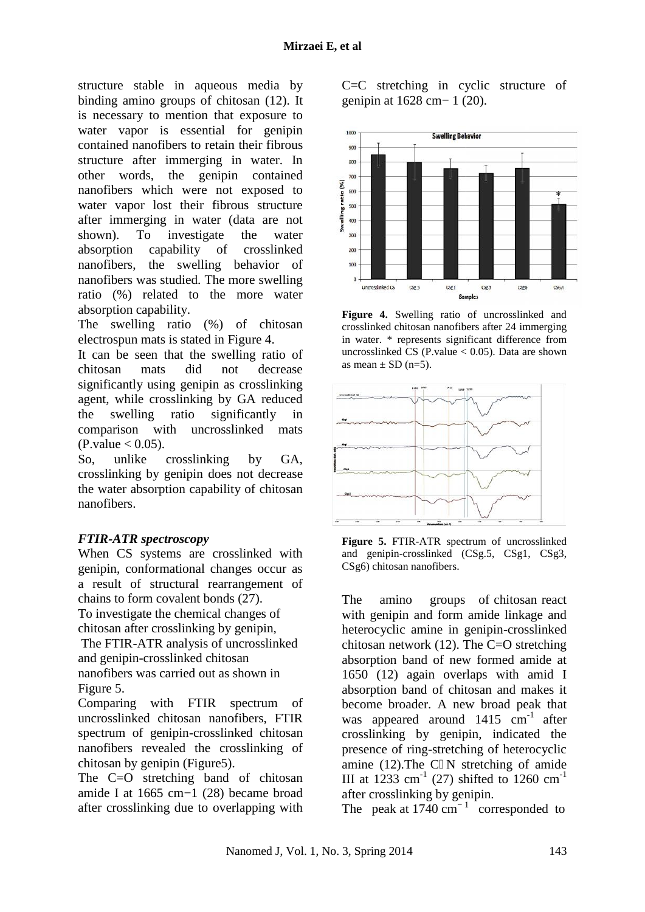structure stable in aqueous media by binding amino groups of chitosan (12). It is necessary to mention that exposure to water vapor is essential for genipin contained nanofibers to retain their fibrous structure after immerging in water. In other words, the genipin contained nanofibers which were not exposed to  $\frac{6}{3}$ water vapor lost their fibrous structure after immerging in water (data are not shown). To investigate the water absorption capability of crosslinked nanofibers, the swelling behavior of<br>
nanofibers was studied. The more swelling<br>
ratio (%) related to the more water<br>
absorption capability.<br>
The swelling ratio (%) of chitosan cr nanofibers was studied. The more swelling ratio (%) related to the more water absorption capability. exposed to<br>
us structure<br>
ata are not<br>
the water<br>
crosslinked

The swelling ratio (%) of chitosan electrospun mats is stated in Figure 4.

It can be seen that the swelling ratio of  $\frac{1}{6}$  chitosan mats did not decrease chitosan mats did not decrease significantly using genipin as crosslinking agent, while crosslinking by GA reduced<br>the swelling ratio significantly in<br>comparison with uncrosslinked mats<br>(P.value < 0.05).<br>So, unlike crosslinking by GA, the swelling ratio significantly in comparison with uncrosslinked mats  $(P-value < 0.05)$ .

So, unlike crosslinking by GA, crosslinking by genipin does not decrease crosslinking by genipin does not decrease<br>the water absorption capability of chitosan nanofibers.

## *FTIR-ATR spectroscopy FTIR-ATR spectroscopy*

When CS systems are crosslinked with an genipin, conformational changes occur as a result of structural rearrangement of chains to form covalent bonds (27).

To investigate the chemical changes of chitosan after crosslinking by genipin,

The FTIR-ATR analysis of uncrosslinked and genipin-crosslinked chitosan nanofibers was carried out as shown in Figure 5. result of structural rearrangement of<br>ains to form covalent bonds (27).<br>investigate the chemical changes of<br>itosan after crosslinking by genipin,<br>ne FTIR-ATR analysis of uncrosslinked<br>d genipin-crosslinked chitosan<br>nofiber

Comparing with FTIR spectrum of uncrosslinked chitosan nanofibers, FTIR spectrum of genipin-crosslinked chitosan nanofibers revealed the crosslinking of chitosan by genipin (Figure5). Comparing with FTIR spectrum of b<br>
uncrosslinked chitosan nanofibers, FTIR w<br>
spectrum of genipin-crosslinked chitosan cr<br>
nanofibers revealed the crosslinking of p<br>
chitosan by genipin (Figure5). a<br>
The C=O stretching ban

amide I at 1665 cm−1 (28) became broad at after crosslinking due to overlapping with

C=C stretching in cyclic structure of genipin at 1628 cm− 1 (20).



**Figure 4.** Swelling ratio of uncrosslinked and crosslinked chitosan nanofibers after 24 immerging in water. \* represents significant difference from uncrosslinked CS (P.value  $< 0.05$ ). Data are shown as mean  $\pm$  SD (n=5).



**Figure 5.** FTIR-ATR spectrum of uncrosslinked and genipin-crosslinked (CSg.5, CSg1, CSg3, CSg6) chitosan nanofibers.

The amino groups of chitosan react with genipin and form amide linkage and heterocyclic amine in genipin-crosslinked chitosan network (12). The C=O stretching absorption band of new formed amide at 1650  $(12)$  again overlaps with amid I absorption band of chitosan and makes it become broader. A new broad peak that was appeared around  $1415$  cm<sup>-1</sup> after crosslinking by genipin, indicated the presence of ring-stretching of heterocyclic amine (12).The C N stretching of amide III at 1233 cm<sup>-1</sup> (27) shifted to 1260 cm<sup>-1</sup> after crosslinking by genipin. stable in a<br>queues media by C=C structuring in cyclic structure of<br>sinon groups of chirosan (12). It germin at 1628 cm-1 (20),<br>one manipolities to retain that exposure to<br> $\sigma$  in each that the geninic continues structure in aqueous median by C-C structure of<br>the consumer to the consumer of the counter of energy in weakeness of relation that exposed to<br>essential for genipin continue and  $\frac{2}{3}$  in the consumer of  $\frac{2}{3}$  in the figure amino groups of chitosan react<br>genipin and form amide linkage and<br>ocyclic amine in genipin-crosslinked<br>san network (12). The C=O stretching<br>ption band of new formed amide at chitosan<br> **Exerce 2.** FIR-ATR spectrum of uncrosslinked<br>
ed with<br>
and genipin-crosslinked (CSg.5, CSg1, CSg3,<br>
cocur as<br>
CSg6) chitosan nanofibers.<br>
The amino groups of chitosan react<br>
so f with genipin and form amide lin

The peak at  $1740 \text{ cm}^{-1}$  corresponded to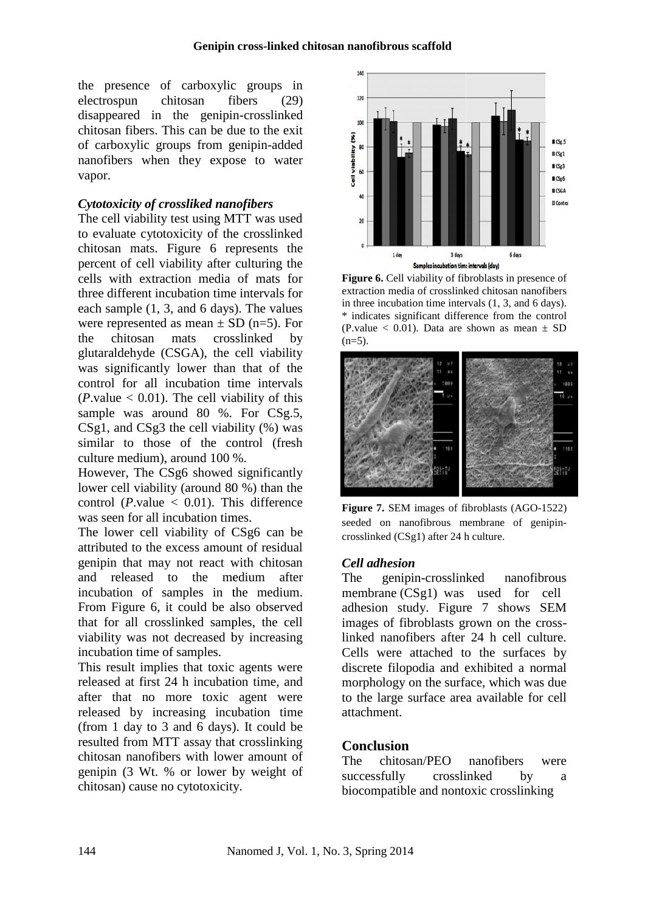the presence of carboxylic groups in electrospun chitosan fibers (29) disappeared in the genipin-crosslinked chitosan fibers. This can be due to the exit chitosan fibers. This can be due to the exit<br>of carboxylic groups from genipin-added nanofibers when they expose to water vapor.

#### *Cytotoxicity of crossliked nanofibers*

The cell viability test using MTT was used to evaluate cytotoxicity of the crosslinked chitosan mats. Figure 6 represents the percent of cell viability after culturing the cells with extraction media of mats for three different incubation time intervals for each sample (1, 3, and 6 days). The values were represented as mean  $\pm$  SD (n=5). For the chitosan mats crosslinked by glutaraldehyde (CSGA), the cell viability was significantly lower than that of the control for all incubation time intervals  $(P.\text{value} < 0.01)$ . The cell viability of this control for all incubation time intervals (*P*.value  $< 0.01$ ). The cell viability of this sample was around 80 %. For CSg.5, CSg1, and CSg3 the cell viability (%) was similar to those of the control (fresh culture medium), around 100 %. e cell viability test using MTT was used<br>evaluate cytotoxicity of the crosslinked<br>tosan mats. Figure 6 represents the<br>cent of cell viability after culturing the ncubation time intervals for<br>
3, and 6 days). The values<br>
d as mean  $\pm$  SD (n=5). For<br>
mats crosslinked by<br>
(CSGA), the cell viability<br>
ly lower than that of the from genipin-added<br>
for expose to water<br>
ced nanofibers<br>
is in the crosslinked<br>
of the crosslinked and<br>
of the crosslinked and<br>
media of maximized and the method of exponential of the crossing of the<br>
method of the crossi

However, The CSg6 showed significantly lower cell viability (around 80 %) than the control ( $P$ .value  $\lt$  0.01). This difference was seen for all incubation times.

The lower cell viability of CSg6 can be attributed to the excess amount of residual genipin that may not react with chitosan and released to the medium after incubation of samples in the medium. From Figure 6, it could be also observed that for all crosslinked samples, the cell that for all crosslinked samples, the cell increasing increasing the viability was not decreased by increasing the state of the state of the viability was not decreased by increasing the state of the state of the viability incubation time of samples. and CSg3 the cell viability (%) was<br>
r to those of the control (fresh<br>
e medium), around 100 %.<br>
ver, The CSg6 showed significantly<br>
cell viability (around 80 %) than the<br>
l (*P*.value < 0.01). This difference<br>
en for all

This result implies that toxic agents were released at first 24 h incubation time, and released at first 24 h incubation time, and<br>after that no more toxic agent were released by increasing incubation time (from 1 day to 3 and 6 days). It could be resulted from MTT assay that crosslinking chitosan nanofibers with lower amount of genipin (3 Wt. % or lower by weight of chitosan) cause no cytotoxicity.



**Figure 6.** Cell viability of fibroblasts in presence of extraction media of crosslinked chitosan nanofibers in three incubation time intervals (1, 3, and 6 days). \* indicates significant difference from the control difference (P.value  $\leq$  0.01). Data are shown as mean  $\pm$  SD  $(n=5)$ .



**Figure 7.** SEM images of fibroblasts (AGO-1522) **Figure 7.** SEM images of fibroblasts (AGO-1522) seeded on nanofibrous membrane of genipincrosslinked (CSg1) after 24 h culture. h

#### *Cell adhesion*

The genipin-crosslinked nanofibrous membrane (CSg1) was used for cell adhesion study. Figure 7 shows SEM images of fibroblasts grown on the crosslinked nanofibers after 24 h cell culture. Cells were attached to the surfaces by discrete filopodia and exhibited a normal morphology on the surface, which was due morphology on the surface, which was due<br>to the large surface area available for cell attachment. membrane (CSg1) was used for cell<br>adhesion study. Figure 7 shows SEM<br>images of fibroblasts grown on the cross-<br>linked nanofibers after 24 h cell culture.<br>Cells were attached to the surfaces by<br>discrete filopodia and exhibi

#### **Conclusion**

The chitosan/PEO nanofibers were successfully crosslinked by a biocompatible and nontoxic crosslinking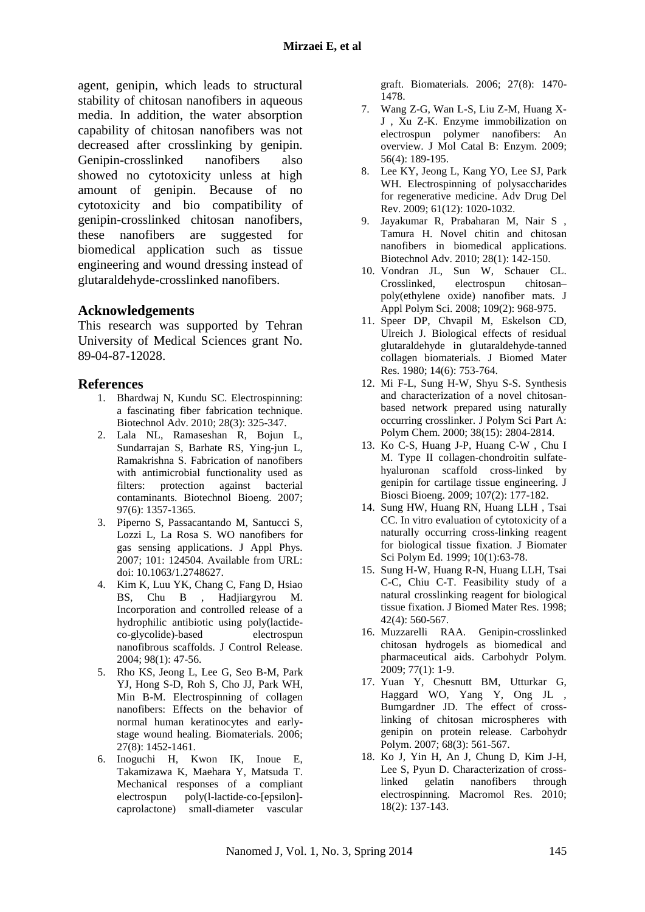agent, genipin, which leads to structural stability of chitosan nanofibers in aqueous media. In addition, the water absorption capability of chitosan nanofibers was not decreased after crosslinking by genipin. Genipin-crosslinked nanofibers also showed no cytotoxicity unless at high amount of genipin. Because of no cytotoxicity and bio compatibility of genipin-crosslinked chitosan nanofibers, these nanofibers are suggested for biomedical application such as tissue engineering and wound dressing instead of glutaraldehyde-crosslinked nanofibers.

#### **Acknowledgements**

This research was supported by Tehran University of Medical Sciences grant No. 89-04-87-12028.

#### **References**

- 1. Bhardwaj N, Kundu SC. Electrospinning: a fascinating fiber fabrication technique. Biotechnol Adv. 2010; 28(3): 325-347.
- 2. Lala NL, Ramaseshan R, Bojun L, Sundarrajan S, Barhate RS, Ying-jun L, Ramakrishna S. Fabrication of nanofibers with antimicrobial functionality used as filters: protection against bacterial contaminants. Biotechnol Bioeng. 2007; 97(6): 1357-1365.
- 3. Piperno S, Passacantando M, Santucci S, Lozzi L, La Rosa S. WO nanofibers for gas sensing applications. J Appl Phys. 2007; 101: 124504. Available from URL: doi: 10.1063/1.2748627.
- 4. Kim K, Luu YK, Chang C, Fang D, Hsiao BS, Chu B , Hadjiargyrou M. Incorporation and controlled release of a hydrophilic antibiotic using poly(lactide co-glycolide)-based electrospun nanofibrous scaffolds. J Control Release. 2004; 98(1): 47-56.
- 5. Rho KS, Jeong L, Lee G, Seo B-M, Park YJ, Hong S-D, Roh S, Cho JJ, Park WH, Min B-M. Electrospinning of collagen nanofibers: Effects on the behavior of normal human keratinocytes and early stage wound healing. Biomaterials. 2006; 27(8): 1452-1461.
- 6. Inoguchi H, Kwon IK, Inoue E, Takamizawa K, Maehara Y, Matsuda T. Mechanical responses of a compliant electrospun poly(l-lactide-co-[epsilon] caprolactone) small-diameter vascular

graft. Biomaterials. 2006; 27(8): 1470- 1478.

- 7. Wang Z-G, Wan L-S, Liu Z-M, Huang X- J , Xu Z-K. Enzyme immobilization on electrospun polymer nanofibers: An overview. J Mol Catal B: Enzym. 2009; 56(4): 189-195.
- 8. Lee KY, Jeong L, Kang YO, Lee SJ, Park WH. Electrospinning of polysaccharides for regenerative medicine. Adv Drug Del Rev. 2009; 61(12): 1020-1032.
- 9. Jayakumar R, Prabaharan M, Nair S , Tamura H. Novel chitin and chitosan nanofibers in biomedical applications. Biotechnol Adv. 2010; 28(1): 142-150.
- 10. Vondran JL, Sun W, Schauer CL. Crosslinked, electrospun chitosan– poly(ethylene oxide) nanofiber mats. J Appl Polym Sci. 2008; 109(2): 968-975.
- 11. Speer DP, Chvapil M, Eskelson CD, Ulreich J. Biological effects of residual glutaraldehyde in glutaraldehyde-tanned collagen biomaterials. J Biomed Mater Res. 1980; 14(6): 753-764.
- 12. Mi F-L, Sung H-W, Shyu S-S. Synthesis and characterization of a novel chitosan based network prepared using naturally occurring crosslinker. J Polym Sci Part A: Polym Chem. 2000; 38(15): 2804-2814.
- 13. Ko C-S, Huang J-P, Huang C-W , Chu I M. Type II collagen-chondroitin sulfate hyaluronan scaffold cross-linked by genipin for cartilage tissue engineering. J Biosci Bioeng. 2009; 107(2): 177-182.
- 14. Sung HW, Huang RN, Huang LLH , Tsai CC. In vitro evaluation of cytotoxicity of a naturally occurring cross-linking reagent for biological tissue fixation. J Biomater Sci Polym Ed. 1999; 10(1):63-78.
- 15. Sung H-W, Huang R-N, Huang LLH, Tsai C-C, Chiu C-T. Feasibility study of a natural crosslinking reagent for biological tissue fixation. J Biomed Mater Res. 1998; 42(4): 560-567.
- 16. Muzzarelli RAA. Genipin-crosslinked chitosan hydrogels as biomedical and pharmaceutical aids. Carbohydr Polym. 2009; 77(1): 1-9.
- 17. Yuan Y, Chesnutt BM, Utturkar G, Haggard WO, Yang Y, Ong JL , Bumgardner JD. The effect of crosslinking of chitosan microspheres with genipin on protein release. Carbohydr Polym. 2007; 68(3): 561-567.
- 18. Ko J, Yin H, An J, Chung D, Kim J-H, Lee S, Pyun D. Characterization of cross-<br>linked gelatin nanofibers through linked gelatin nanofibers through electrospinning. Macromol Res. 2010; 18(2): 137-143.